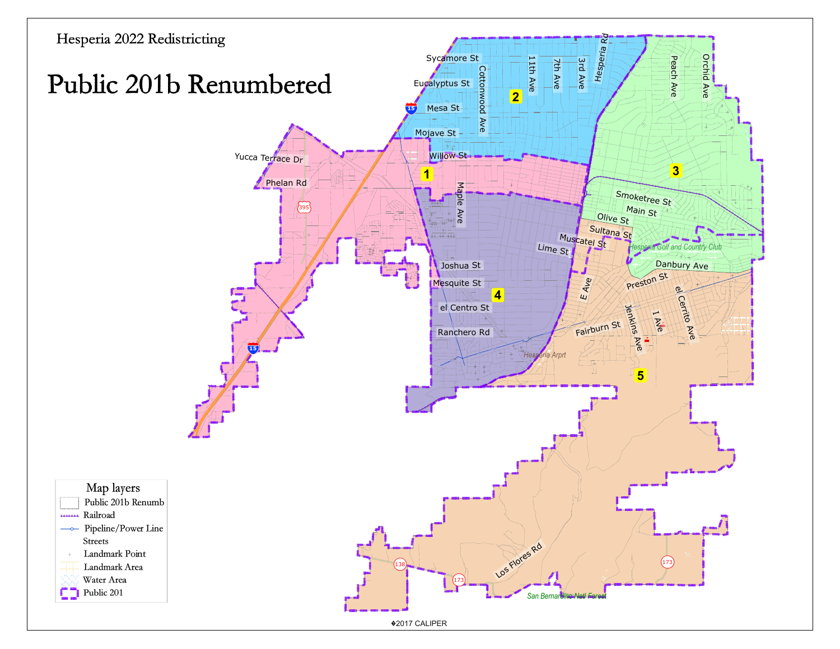